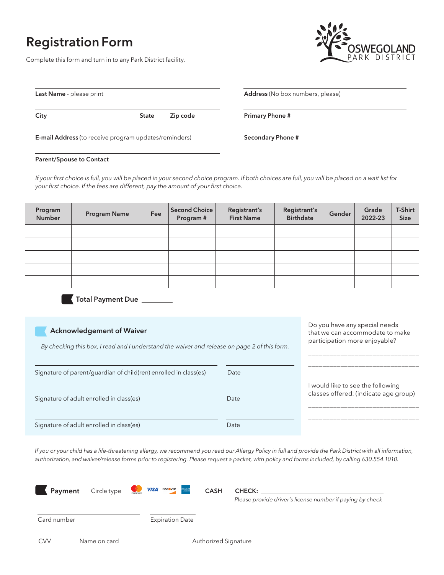# Registration Form

Complete this form and turn in to any Park District facility.



Do you have any special needs that we can accommodate to make participation more enjoyable?

| Last Name - please print                                     |              |          |  |
|--------------------------------------------------------------|--------------|----------|--|
| City                                                         | <b>State</b> | Zip code |  |
| <b>E-mail Address</b> (to receive program updates/reminders) |              |          |  |

#### Address (No box numbers, please)

Primary Phone #

Secondary Phone #

#### Parent/Spouse to Contact

*If your first choice is full, you will be placed in your second choice program. If both choices are full, you will be placed on a wait list for your first choice. If the fees are different, pay the amount of your first choice.* 

| Program<br>Number | <b>Program Name</b> | Fee | Second Choice<br>Program # | Registrant's<br><b>First Name</b> | Registrant's<br><b>Birthdate</b> | Gender | Grade<br>2022-23 | T-Shirt<br>Size |
|-------------------|---------------------|-----|----------------------------|-----------------------------------|----------------------------------|--------|------------------|-----------------|
|                   |                     |     |                            |                                   |                                  |        |                  |                 |
|                   |                     |     |                            |                                   |                                  |        |                  |                 |
|                   |                     |     |                            |                                   |                                  |        |                  |                 |
|                   |                     |     |                            |                                   |                                  |        |                  |                 |
|                   |                     |     |                            |                                   |                                  |        |                  |                 |

Total Payment Due \_\_\_\_\_\_\_\_

### Acknowledgement of Waiver

*By checking this box, I read and I understand the waiver and release on page 2 of this form.*

| Dy checking this box, i read and I differentially the waiver and release on page 2 of this form. |      |                                                                            |
|--------------------------------------------------------------------------------------------------|------|----------------------------------------------------------------------------|
| Signature of parent/guardian of child(ren) enrolled in class(es)                                 | Date |                                                                            |
| Signature of adult enrolled in class(es)                                                         | Date | I would like to see the following<br>classes offered: (indicate age group) |
| Signature of adult enrolled in class(es)                                                         | Date |                                                                            |

*If you or your child has a life-threatening allergy, we recommend you read our Allergy Policy in full and provide the Park District with all information, authorization, and waiver/release forms prior to registering. Please request a packet, with policy and forms included, by calling 630.554.1010.*